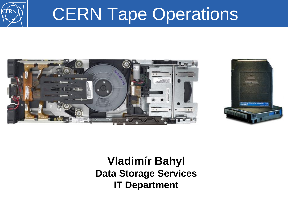

## CERN Tape Operations





#### **Vladimír Bahyl Data Storage Services IT Department**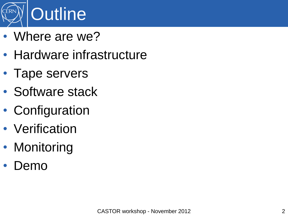

- Where are we?
- Hardware infrastructure
- Tape servers
- Software stack
- Configuration
- Verification
- Monitoring
- Demo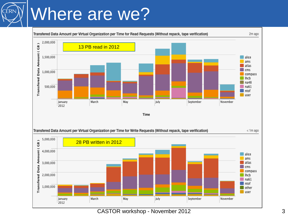## Where are we?

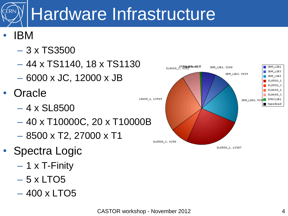# Hardware Infrastructure

#### • IBM

- 3 x TS3500
- 44 x TS1140, 18 x TS1130
- 6000 x JC, 12000 x JB
- **Oracle** 
	- $-4 \times$  SL8500
	- 40 x T10000C, 20 x T10000B
	- $-$  8500 x T2, 27000 x T1
- Spectra Logic
	- 1 x T-Finity
	- $-5$  x LTO5
	- 400 x LTO5

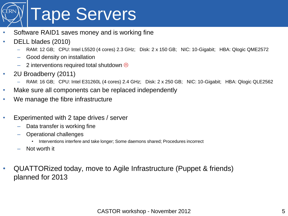

- Software RAID1 saves money and is working fine
- DELL blades (2010)
	- RAM: 12 GB; CPU: Intel L5520 (4 cores) 2.3 GHz; Disk: 2 x 150 GB; NIC: 10-Gigabit; HBA: Qlogic QME2572
	- Good density on installation
	- 2 interventions required total shutdown  $\odot$
- 2U Broadberry (2011)
	- RAM: 16 GB; CPU: Intel E31260L (4 cores) 2.4 GHz; Disk: 2 x 250 GB; NIC: 10-Gigabit; HBA: Qlogic QLE2562
- Make sure all components can be replaced independently
- We manage the fibre infrastructure
- Experimented with 2 tape drives / server
	- Data transfer is working fine
	- Operational challenges
		- Interventions interfere and take longer; Some daemons shared; Procedures incorrect
	- Not worth it
- QUATTORized today, move to Agile Infrastructure (Puppet & friends) planned for 2013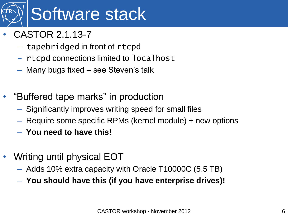

- CASTOR 2.1.13-7
	- tapebridged in front of rtcpd
	- rtcpd connections limited to localhost
	- Many bugs fixed see Steven's talk
- "Buffered tape marks" in production
	- Significantly improves writing speed for small files
	- Require some specific RPMs (kernel module) + new options
	- **You need to have this!**
- Writing until physical EOT
	- Adds 10% extra capacity with Oracle T10000C (5.5 TB)
	- **You should have this (if you have enterprise drives)!**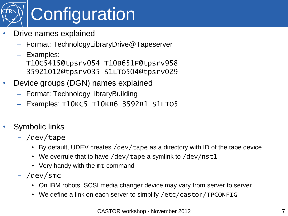

- Drive names explained
	- Format: TechnologyLibraryDrive@Tapeserver
	- Examples: T10C5415@tpsrv054, T10B651F@tpsrv958 35921012@tpsrv035, S1LTO504@tpsrv029
- Device groups (DGN) names explained
	- Format: TechnologyLibraryBuilding
	- Examples: T10KC5, T10KB6, 3592B1, S1LTO5
- Symbolic links
	- /dev/tape
		- By default, UDEV creates /dev/tape as a directory with ID of the tape device
		- We overrule that to have /dev/tape a symlink to /dev/nst1
		- Very handy with the mt command
	- /dev/smc
		- On IBM robots, SCSI media changer device may vary from server to server
		- We define a link on each server to simplify /etc/castor/TPCONFIG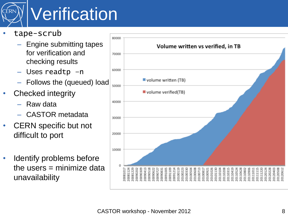

## **Verification**

- tape-scrub
	- Engine submitting tapes for verification and checking results
	- Uses readtp –n
	- Follows the (queued) load
- Checked integrity
	- Raw data
	- CASTOR metadata
- CERN specific but not difficult to port
- Identify problems before the users  $=$  minimize data unavailability

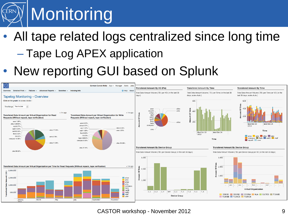

### • All tape related logs centralized since long time – Tape Log APEX application

#### New reporting GUI based on Splunk



CASTOR workshop - November 2012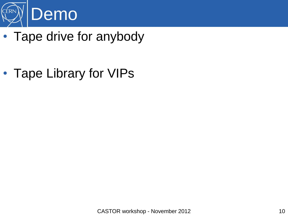

• Tape drive for anybody

• Tape Library for VIPs